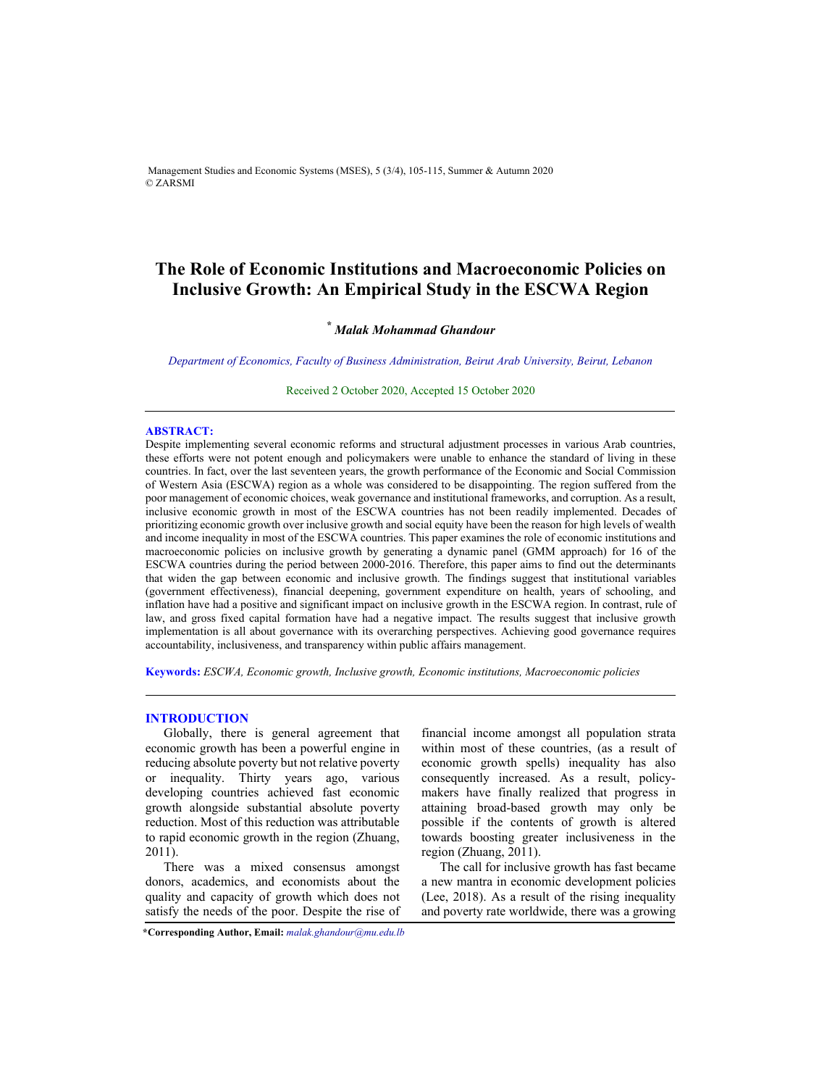Management Studies and Economic Systems (MSES), 5 (3/4), 105-115, Summer & Autumn 2020 © ZARSMI

# **The Role of Economic Institutions and Macroeconomic Policies on Inclusive Growth: An Empirical Study in the ESCWA Region**

# *\* Malak Mohammad Ghandour*

*Department of Economics, Faculty of Business Administration, Beirut Arab University, Beirut, Lebanon* 

Received 2 October 2020, Accepted 15 October 2020 

## **ABSTRACT:**

Despite implementing several economic reforms and structural adjustment processes in various Arab countries, these efforts were not potent enough and policymakers were unable to enhance the standard of living in these countries. In fact, over the last seventeen years, the growth performance of the Economic and Social Commission of Western Asia (ESCWA) region as a whole was considered to be disappointing. The region suffered from the poor management of economic choices, weak governance and institutional frameworks, and corruption. As a result, inclusive economic growth in most of the ESCWA countries has not been readily implemented. Decades of prioritizing economic growth over inclusive growth and social equity have been the reason for high levels of wealth and income inequality in most of the ESCWA countries. This paper examines the role of economic institutions and macroeconomic policies on inclusive growth by generating a dynamic panel (GMM approach) for 16 of the ESCWA countries during the period between 2000-2016. Therefore, this paper aims to find out the determinants that widen the gap between economic and inclusive growth. The findings suggest that institutional variables (government effectiveness), financial deepening, government expenditure on health, years of schooling, and inflation have had a positive and significant impact on inclusive growth in the ESCWA region. In contrast, rule of law, and gross fixed capital formation have had a negative impact. The results suggest that inclusive growth implementation is all about governance with its overarching perspectives. Achieving good governance requires accountability, inclusiveness, and transparency within public affairs management.

**Keywords:** *ESCWA, Economic growth, Inclusive growth, Economic institutions, Macroeconomic policies* 

# **INTRODUCTION**

Globally, there is general agreement that economic growth has been a powerful engine in reducing absolute poverty but not relative poverty or inequality. Thirty years ago, various developing countries achieved fast economic growth alongside substantial absolute poverty reduction. Most of this reduction was attributable to rapid economic growth in the region (Zhuang, 2011).

There was a mixed consensus amongst donors, academics, and economists about the quality and capacity of growth which does not satisfy the needs of the poor. Despite the rise of

financial income amongst all population strata within most of these countries, (as a result of economic growth spells) inequality has also consequently increased. As a result, policymakers have finally realized that progress in attaining broad-based growth may only be possible if the contents of growth is altered towards boosting greater inclusiveness in the region (Zhuang, 2011).

The call for inclusive growth has fast became a new mantra in economic development policies (Lee, 2018). As a result of the rising inequality and poverty rate worldwide, there was a growing

**\*Corresponding Author, Email:** *malak.ghandour@mu.edu.lb*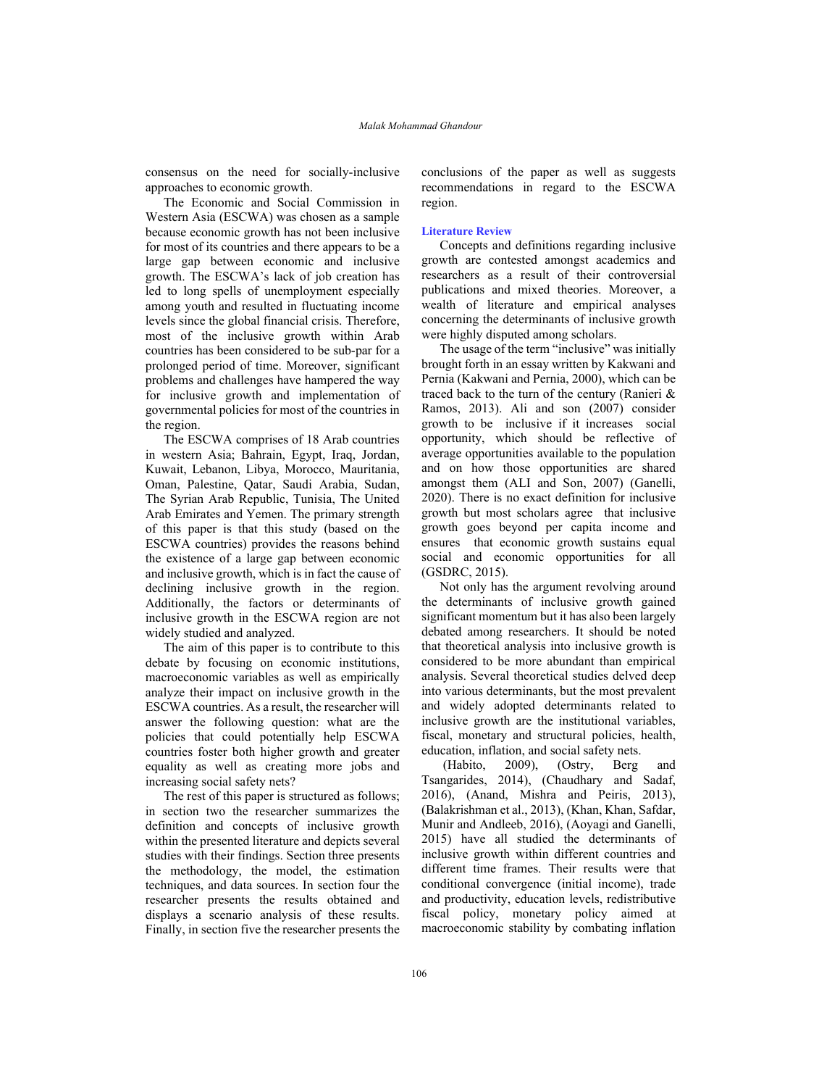consensus on the need for socially-inclusive approaches to economic growth.

The Economic and Social Commission in Western Asia (ESCWA) was chosen as a sample because economic growth has not been inclusive for most of its countries and there appears to be a large gap between economic and inclusive growth. The ESCWA's lack of job creation has led to long spells of unemployment especially among youth and resulted in fluctuating income levels since the global financial crisis. Therefore, most of the inclusive growth within Arab countries has been considered to be sub-par for a prolonged period of time. Moreover, significant problems and challenges have hampered the way for inclusive growth and implementation of governmental policies for most of the countries in the region.

The ESCWA comprises of 18 Arab countries in western Asia; Bahrain, Egypt, Iraq, Jordan, Kuwait, Lebanon, Libya, Morocco, Mauritania, Oman, Palestine, Qatar, Saudi Arabia, Sudan, The Syrian Arab Republic, Tunisia, The United Arab Emirates and Yemen. The primary strength of this paper is that this study (based on the ESCWA countries) provides the reasons behind the existence of a large gap between economic and inclusive growth, which is in fact the cause of declining inclusive growth in the region. Additionally, the factors or determinants of inclusive growth in the ESCWA region are not widely studied and analyzed.

The aim of this paper is to contribute to this debate by focusing on economic institutions, macroeconomic variables as well as empirically analyze their impact on inclusive growth in the ESCWA countries. As a result, the researcher will answer the following question: what are the policies that could potentially help ESCWA countries foster both higher growth and greater equality as well as creating more jobs and increasing social safety nets?

The rest of this paper is structured as follows; in section two the researcher summarizes the definition and concepts of inclusive growth within the presented literature and depicts several studies with their findings. Section three presents the methodology, the model, the estimation techniques, and data sources. In section four the researcher presents the results obtained and displays a scenario analysis of these results. Finally, in section five the researcher presents the

conclusions of the paper as well as suggests recommendations in regard to the ESCWA region.

### **Literature Review**

Concepts and definitions regarding inclusive growth are contested amongst academics and researchers as a result of their controversial publications and mixed theories. Moreover, a wealth of literature and empirical analyses concerning the determinants of inclusive growth were highly disputed among scholars.

The usage of the term "inclusive" was initially brought forth in an essay written by Kakwani and Pernia (Kakwani and Pernia, 2000), which can be traced back to the turn of the century (Ranieri & Ramos, 2013). Ali and son (2007) consider growth to be inclusive if it increases social opportunity, which should be reflective of average opportunities available to the population and on how those opportunities are shared amongst them (ALI and Son, 2007) (Ganelli, 2020). There is no exact definition for inclusive growth but most scholars agree that inclusive growth goes beyond per capita income and ensures that economic growth sustains equal social and economic opportunities for all (GSDRC, 2015).

Not only has the argument revolving around the determinants of inclusive growth gained significant momentum but it has also been largely debated among researchers. It should be noted that theoretical analysis into inclusive growth is considered to be more abundant than empirical analysis. Several theoretical studies delved deep into various determinants, but the most prevalent and widely adopted determinants related to inclusive growth are the institutional variables, fiscal, monetary and structural policies, health, education, inflation, and social safety nets.<br>(Habito, 2009), (Ostry, Berg)

 (Habito, 2009), (Ostry, Berg and Tsangarides, 2014), (Chaudhary and Sadaf, 2016), (Anand, Mishra and Peiris, 2013), (Balakrishman et al., 2013), (Khan, Khan, Safdar, Munir and Andleeb, 2016), (Aoyagi and Ganelli, 2015) have all studied the determinants of inclusive growth within different countries and different time frames. Their results were that conditional convergence (initial income), trade and productivity, education levels, redistributive fiscal policy, monetary policy aimed at macroeconomic stability by combating inflation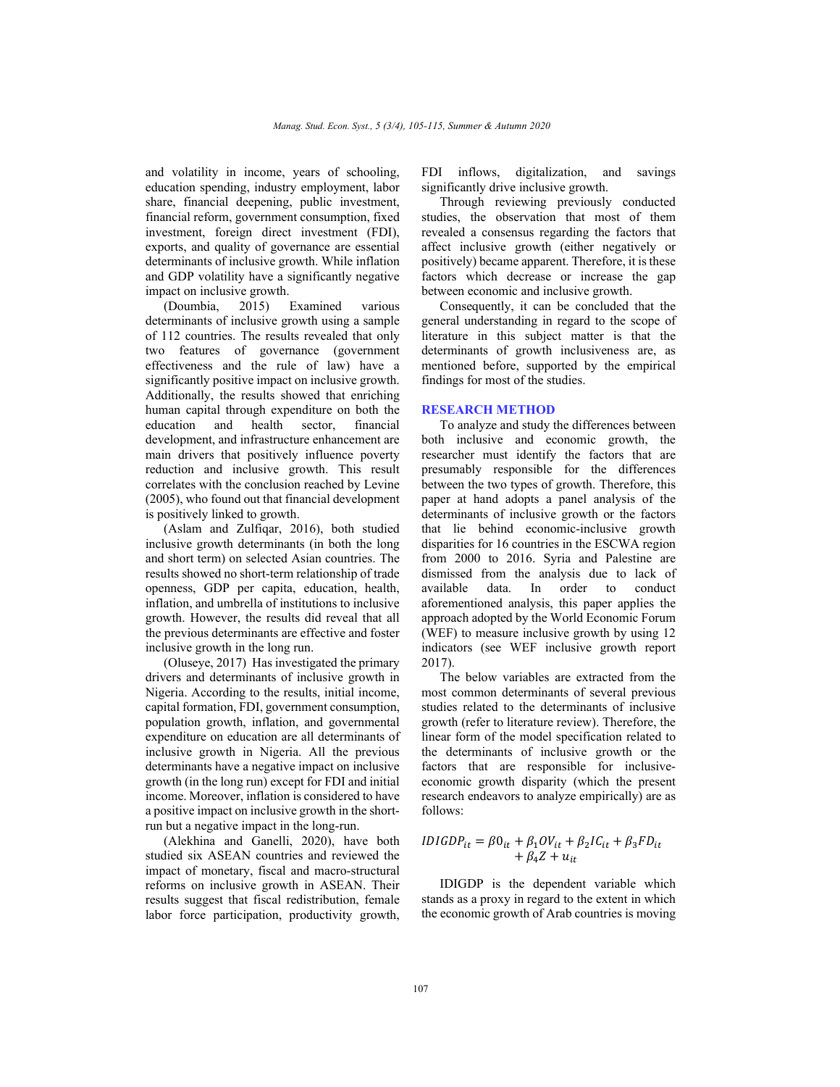and volatility in income, years of schooling, education spending, industry employment, labor share, financial deepening, public investment, financial reform, government consumption, fixed investment, foreign direct investment (FDI), exports, and quality of governance are essential determinants of inclusive growth. While inflation and GDP volatility have a significantly negative impact on inclusive growth.

(Doumbia, 2015) Examined various determinants of inclusive growth using a sample of 112 countries. The results revealed that only two features of governance (government effectiveness and the rule of law) have a significantly positive impact on inclusive growth. Additionally, the results showed that enriching human capital through expenditure on both the education and health sector, financial development, and infrastructure enhancement are main drivers that positively influence poverty reduction and inclusive growth. This result correlates with the conclusion reached by Levine (2005), who found out that financial development is positively linked to growth.

(Aslam and Zulfiqar, 2016), both studied inclusive growth determinants (in both the long and short term) on selected Asian countries. The results showed no short-term relationship of trade openness, GDP per capita, education, health, inflation, and umbrella of institutions to inclusive growth. However, the results did reveal that all the previous determinants are effective and foster inclusive growth in the long run.

(Oluseye, 2017) Has investigated the primary drivers and determinants of inclusive growth in Nigeria. According to the results, initial income, capital formation, FDI, government consumption, population growth, inflation, and governmental expenditure on education are all determinants of inclusive growth in Nigeria. All the previous determinants have a negative impact on inclusive growth (in the long run) except for FDI and initial income. Moreover, inflation is considered to have a positive impact on inclusive growth in the shortrun but a negative impact in the long-run.

(Alekhina and Ganelli, 2020), have both studied six ASEAN countries and reviewed the impact of monetary, fiscal and macro-structural reforms on inclusive growth in ASEAN. Their results suggest that fiscal redistribution, female labor force participation, productivity growth, FDI inflows, digitalization, and savings significantly drive inclusive growth.

Through reviewing previously conducted studies, the observation that most of them revealed a consensus regarding the factors that affect inclusive growth (either negatively or positively) became apparent. Therefore, it is these factors which decrease or increase the gap between economic and inclusive growth.

Consequently, it can be concluded that the general understanding in regard to the scope of literature in this subject matter is that the determinants of growth inclusiveness are, as mentioned before, supported by the empirical findings for most of the studies.

### **RESEARCH METHOD**

To analyze and study the differences between both inclusive and economic growth, the researcher must identify the factors that are presumably responsible for the differences between the two types of growth. Therefore, this paper at hand adopts a panel analysis of the determinants of inclusive growth or the factors that lie behind economic-inclusive growth disparities for 16 countries in the ESCWA region from 2000 to 2016. Syria and Palestine are dismissed from the analysis due to lack of available data. In order to conduct aforementioned analysis, this paper applies the approach adopted by the World Economic Forum (WEF) to measure inclusive growth by using 12 indicators (see WEF inclusive growth report 2017).

The below variables are extracted from the most common determinants of several previous studies related to the determinants of inclusive growth (refer to literature review). Therefore, the linear form of the model specification related to the determinants of inclusive growth or the factors that are responsible for inclusiveeconomic growth disparity (which the present research endeavors to analyze empirically) are as follows:

$$
IDIGDPit = \beta 0it + \beta_1 OVit + \beta_2 ICit + \beta_3 FDit
$$
  
+  $\beta_4 Z + uit$ 

IDIGDP is the dependent variable which stands as a proxy in regard to the extent in which the economic growth of Arab countries is moving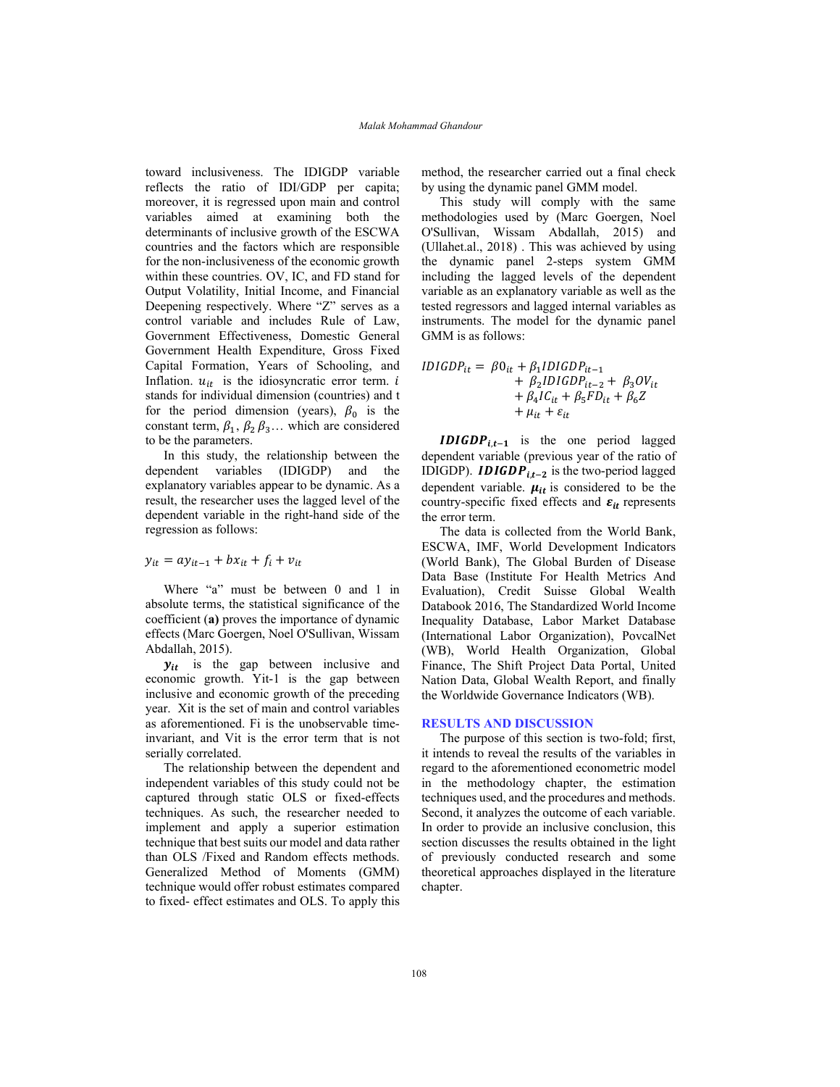toward inclusiveness. The IDIGDP variable reflects the ratio of IDI/GDP per capita; moreover, it is regressed upon main and control variables aimed at examining both the determinants of inclusive growth of the ESCWA countries and the factors which are responsible for the non-inclusiveness of the economic growth within these countries. OV, IC, and FD stand for Output Volatility, Initial Income, and Financial Deepening respectively. Where "Z" serves as a control variable and includes Rule of Law, Government Effectiveness, Domestic General Government Health Expenditure, Gross Fixed Capital Formation, Years of Schooling, and Inflation.  $u_{it}$  is the idiosyncratic error term. i stands for individual dimension (countries) and t for the period dimension (years),  $\beta_0$  is the constant term,  $\beta_1$ ,  $\beta_2$   $\beta_3$ ... which are considered to be the parameters.

In this study, the relationship between the dependent variables (IDIGDP) and the explanatory variables appear to be dynamic. As a result, the researcher uses the lagged level of the dependent variable in the right-hand side of the regression as follows:

# $y_{it} = ay_{it-1} + bx_{it} + f_i + v_{it}$

Where "a" must be between 0 and 1 in absolute terms, the statistical significance of the coefficient (**a)** proves the importance of dynamic effects (Marc Goergen, Noel O'Sullivan, Wissam Abdallah, 2015).

 $y_{it}$  is the gap between inclusive and economic growth. Yit-1 is the gap between inclusive and economic growth of the preceding year. Xit is the set of main and control variables as aforementioned. Fi is the unobservable timeinvariant, and Vit is the error term that is not serially correlated.

The relationship between the dependent and independent variables of this study could not be captured through static OLS or fixed-effects techniques. As such, the researcher needed to implement and apply a superior estimation technique that best suits our model and data rather than OLS /Fixed and Random effects methods. Generalized Method of Moments (GMM) technique would offer robust estimates compared to fixed- effect estimates and OLS. To apply this method, the researcher carried out a final check by using the dynamic panel GMM model.

This study will comply with the same methodologies used by (Marc Goergen, Noel O'Sullivan, Wissam Abdallah, 2015) and (Ullahet.al., 2018) . This was achieved by using the dynamic panel 2-steps system GMM including the lagged levels of the dependent variable as an explanatory variable as well as the tested regressors and lagged internal variables as instruments. The model for the dynamic panel GMM is as follows:

$$
IDIGDP_{it} = \beta 0_{it} + \beta_1 IDIGDP_{it-1} + \beta_2 IDIGDP_{it-2} + \beta_3 OV_{it} + \beta_4 IC_{it} + \beta_5 FD_{it} + \beta_6 Z + \mu_{it} + \varepsilon_{it}
$$

**IDIGDP**<sub>it-1</sub> is the one period lagged dependent variable (previous year of the ratio of IDIGDP). **IDIGDP**<sub>it-2</sub> is the two-period lagged dependent variable.  $\mu_{it}$  is considered to be the country-specific fixed effects and  $\varepsilon_{it}$  represents the error term.

The data is collected from the World Bank, ESCWA, IMF, World Development Indicators (World Bank), The Global Burden of Disease Data Base (Institute For Health Metrics And Evaluation), Credit Suisse Global Wealth Databook 2016, The Standardized World Income Inequality Database, Labor Market Database (International Labor Organization), PovcalNet (WB), World Health Organization, Global Finance, The Shift Project Data Portal, United Nation Data, Global Wealth Report, and finally the Worldwide Governance Indicators (WB).

### **RESULTS AND DISCUSSION**

The purpose of this section is two-fold; first, it intends to reveal the results of the variables in regard to the aforementioned econometric model in the methodology chapter, the estimation techniques used, and the procedures and methods. Second, it analyzes the outcome of each variable. In order to provide an inclusive conclusion, this section discusses the results obtained in the light of previously conducted research and some theoretical approaches displayed in the literature chapter.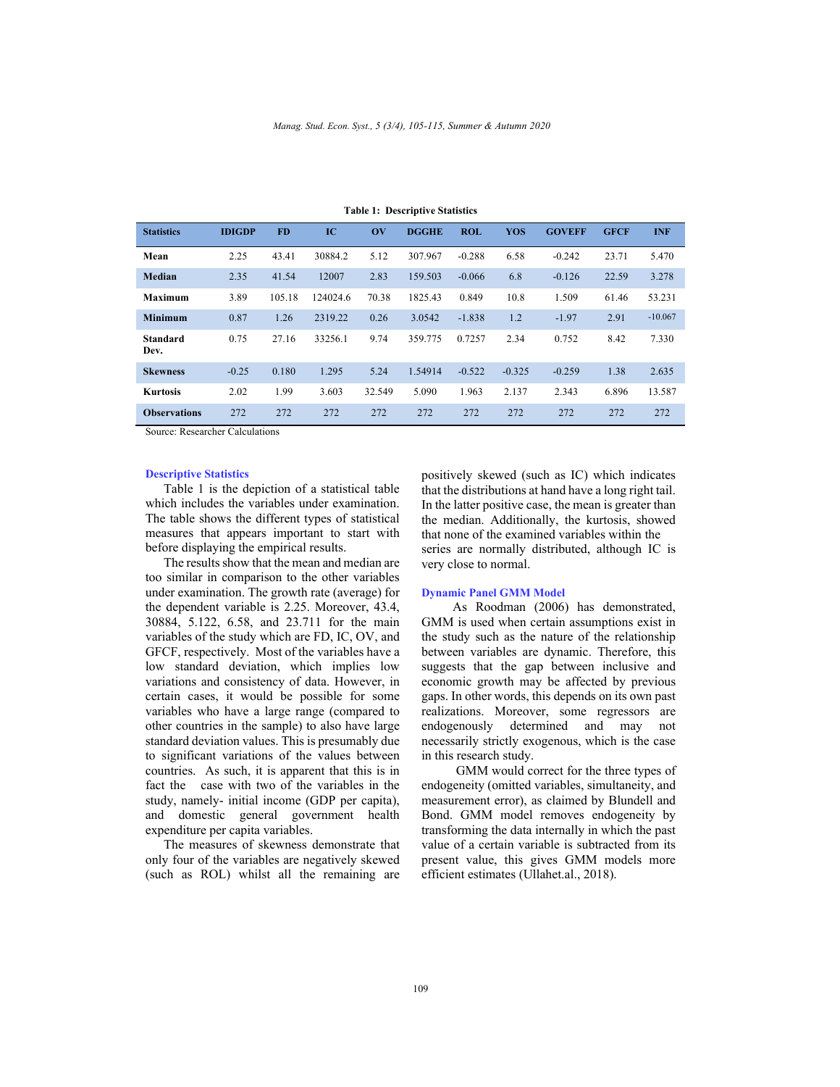| <b>Statistics</b>       | <b>IDIGDP</b> | <b>FD</b> | IC       | $\mathbf{O}(\mathbf{V})$ | <b>DGGHE</b> | <b>ROL</b> | <b>YOS</b> | <b>GOVEFF</b> | <b>GFCF</b> | <b>INF</b> |
|-------------------------|---------------|-----------|----------|--------------------------|--------------|------------|------------|---------------|-------------|------------|
|                         |               |           |          |                          |              |            |            |               |             |            |
| Mean                    | 2.25          | 43.41     | 30884.2  | 5.12                     | 307.967      | $-0.288$   | 6.58       | $-0.242$      | 23.71       | 5.470      |
| Median                  | 2.35          | 41.54     | 12007    | 2.83                     | 159.503      | $-0.066$   | 6.8        | $-0.126$      | 22.59       | 3.278      |
| <b>Maximum</b>          | 3.89          | 105.18    | 124024.6 | 70.38                    | 1825.43      | 0.849      | 10.8       | 1.509         | 61.46       | 53.231     |
| <b>Minimum</b>          | 0.87          | 1.26      | 2319.22  | 0.26                     | 3.0542       | $-1.838$   | 1.2        | $-1.97$       | 2.91        | $-10.067$  |
| <b>Standard</b><br>Dev. | 0.75          | 27.16     | 33256.1  | 9.74                     | 359.775      | 0.7257     | 2.34       | 0.752         | 8.42        | 7.330      |
| <b>Skewness</b>         | $-0.25$       | 0.180     | 1.295    | 5.24                     | 1.54914      | $-0.522$   | $-0.325$   | $-0.259$      | 1.38        | 2.635      |
| <b>Kurtosis</b>         | 2.02          | 1.99      | 3.603    | 32.549                   | 5.090        | 1.963      | 2.137      | 2.343         | 6.896       | 13.587     |
| <b>Observations</b>     | 272           | 272       | 272      | 272                      | 272          | 272        | 272        | 272           | 272         | 272        |

**Table 1: Descriptive Statistics** 

Source: Researcher Calculations

# **Descriptive Statistics**

Table 1 is the depiction of a statistical table which includes the variables under examination. The table shows the different types of statistical measures that appears important to start with before displaying the empirical results.

The results show that the mean and median are too similar in comparison to the other variables under examination. The growth rate (average) for the dependent variable is 2.25. Moreover, 43.4, 30884, 5.122, 6.58, and 23.711 for the main variables of the study which are FD, IC, OV, and GFCF, respectively. Most of the variables have a low standard deviation, which implies low variations and consistency of data. However, in certain cases, it would be possible for some variables who have a large range (compared to other countries in the sample) to also have large standard deviation values. This is presumably due to significant variations of the values between countries. As such, it is apparent that this is in fact the case with two of the variables in the study, namely- initial income (GDP per capita), and domestic general government health expenditure per capita variables.

The measures of skewness demonstrate that only four of the variables are negatively skewed (such as ROL) whilst all the remaining are positively skewed (such as IC) which indicates that the distributions at hand have a long right tail. In the latter positive case, the mean is greater than the median. Additionally, the kurtosis, showed that none of the examined variables within the series are normally distributed, although IC is very close to normal.

#### **Dynamic Panel GMM Model**

 As Roodman (2006) has demonstrated, GMM is used when certain assumptions exist in the study such as the nature of the relationship between variables are dynamic. Therefore, this suggests that the gap between inclusive and economic growth may be affected by previous gaps. In other words, this depends on its own past realizations. Moreover, some regressors are endogenously determined and may not necessarily strictly exogenous, which is the case in this research study.

 GMM would correct for the three types of endogeneity (omitted variables, simultaneity, and measurement error), as claimed by Blundell and Bond. GMM model removes endogeneity by transforming the data internally in which the past value of a certain variable is subtracted from its present value, this gives GMM models more efficient estimates (Ullahet.al., 2018).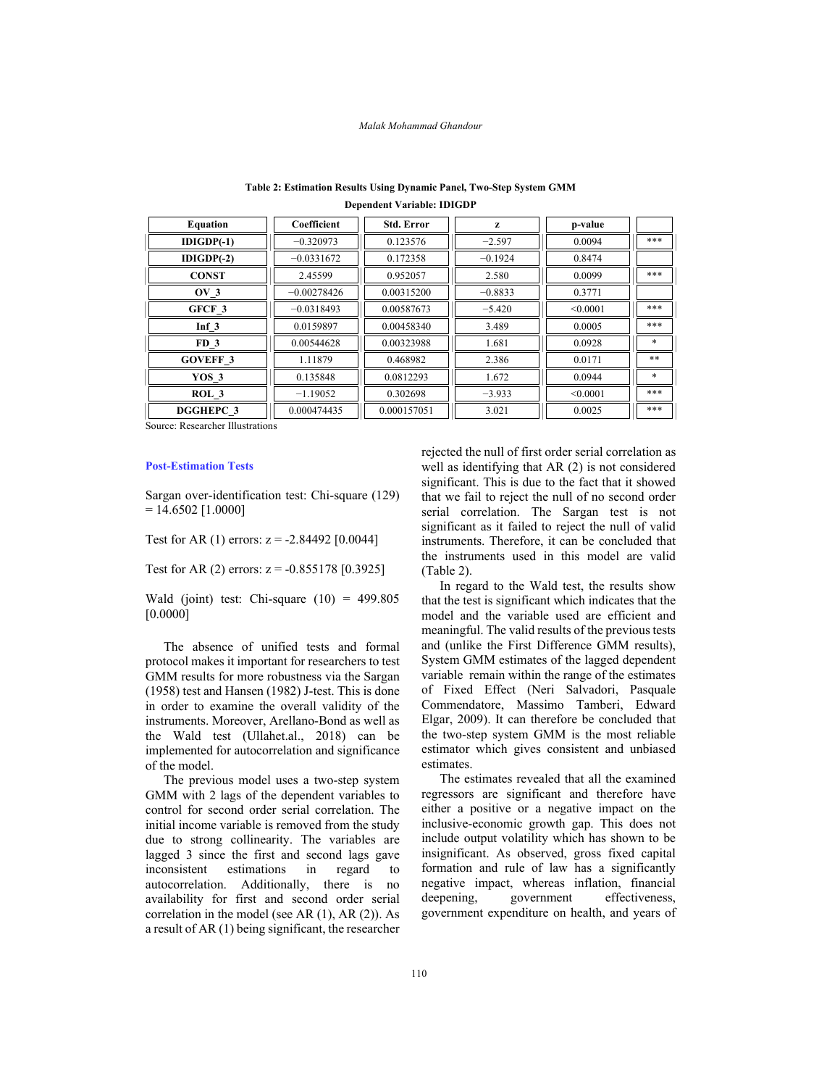#### *Malak Mohammad Ghandour*

| <b>Equation</b>   | Coefficient   | <b>Std. Error</b> | z         | p-value  |        |
|-------------------|---------------|-------------------|-----------|----------|--------|
| $IDIGDP(-1)$      | $-0.320973$   | 0.123576          | $-2.597$  | 0.0094   | ***    |
| $IDIGDP(-2)$      | $-0.0331672$  | 0.172358          | $-0.1924$ | 0.8474   |        |
| <b>CONST</b>      | 2.45599       | 0.952057          | 2.580     | 0.0099   | ***    |
| $\overline{O}V$ 3 | $-0.00278426$ | 0.00315200        | $-0.8833$ | 0.3771   |        |
| GFCF 3            | $-0.0318493$  | 0.00587673        | $-5.420$  | < 0.0001 | ***    |
| $Inf$ 3           | 0.0159897     | 0.00458340        | 3.489     | 0.0005   | ***    |
| FD <sub>3</sub>   | 0.00544628    | 0.00323988        | 1.681     | 0.0928   | *      |
| <b>GOVEFF 3</b>   | 1.11879       | 0.468982          | 2.386     | 0.0171   | **     |
| YOS 3             | 0.135848      | 0.0812293         | 1.672     | 0.0944   | $\ast$ |
| ROL <sub>3</sub>  | $-1.19052$    | 0.302698          | $-3.933$  | < 0.0001 | ***    |
| <b>DGGHEPC 3</b>  | 0.000474435   | 0.000157051       | 3.021     | 0.0025   | ***    |

# **Table 2: Estimation Results Using Dynamic Panel, Two-Step System GMM Dependent Variable: IDIGDP**

Source: Researcher Illustrations

### **Post-Estimation Tests**

Sargan over-identification test: Chi-square (129)  $= 14.6502$  [1.0000]

Test for AR (1) errors:  $z = -2.84492$  [0.0044]

Test for AR (2) errors:  $z = -0.855178$  [0.3925]

Wald (joint) test: Chi-square  $(10) = 499.805$ [0.0000]

The absence of unified tests and formal protocol makes it important for researchers to test GMM results for more robustness via the Sargan (1958) test and Hansen (1982) J-test. This is done in order to examine the overall validity of the instruments. Moreover, Arellano-Bond as well as the Wald test (Ullahet.al., 2018) can be implemented for autocorrelation and significance of the model.

The previous model uses a two-step system GMM with 2 lags of the dependent variables to control for second order serial correlation. The initial income variable is removed from the study due to strong collinearity. The variables are lagged 3 since the first and second lags gave inconsistent estimations in regard to autocorrelation. Additionally, there is no availability for first and second order serial correlation in the model (see AR (1), AR (2)). As a result of AR (1) being significant, the researcher

rejected the null of first order serial correlation as well as identifying that AR (2) is not considered significant. This is due to the fact that it showed that we fail to reject the null of no second order serial correlation. The Sargan test is not significant as it failed to reject the null of valid instruments. Therefore, it can be concluded that the instruments used in this model are valid (Table 2).

In regard to the Wald test, the results show that the test is significant which indicates that the model and the variable used are efficient and meaningful. The valid results of the previous tests and (unlike the First Difference GMM results), System GMM estimates of the lagged dependent variable remain within the range of the estimates of Fixed Effect (Neri Salvadori, Pasquale Commendatore, Massimo Tamberi, Edward Elgar, 2009). It can therefore be concluded that the two-step system GMM is the most reliable estimator which gives consistent and unbiased estimates.

The estimates revealed that all the examined regressors are significant and therefore have either a positive or a negative impact on the inclusive-economic growth gap. This does not include output volatility which has shown to be insignificant. As observed, gross fixed capital formation and rule of law has a significantly negative impact, whereas inflation, financial deepening, government effectiveness, government expenditure on health, and years of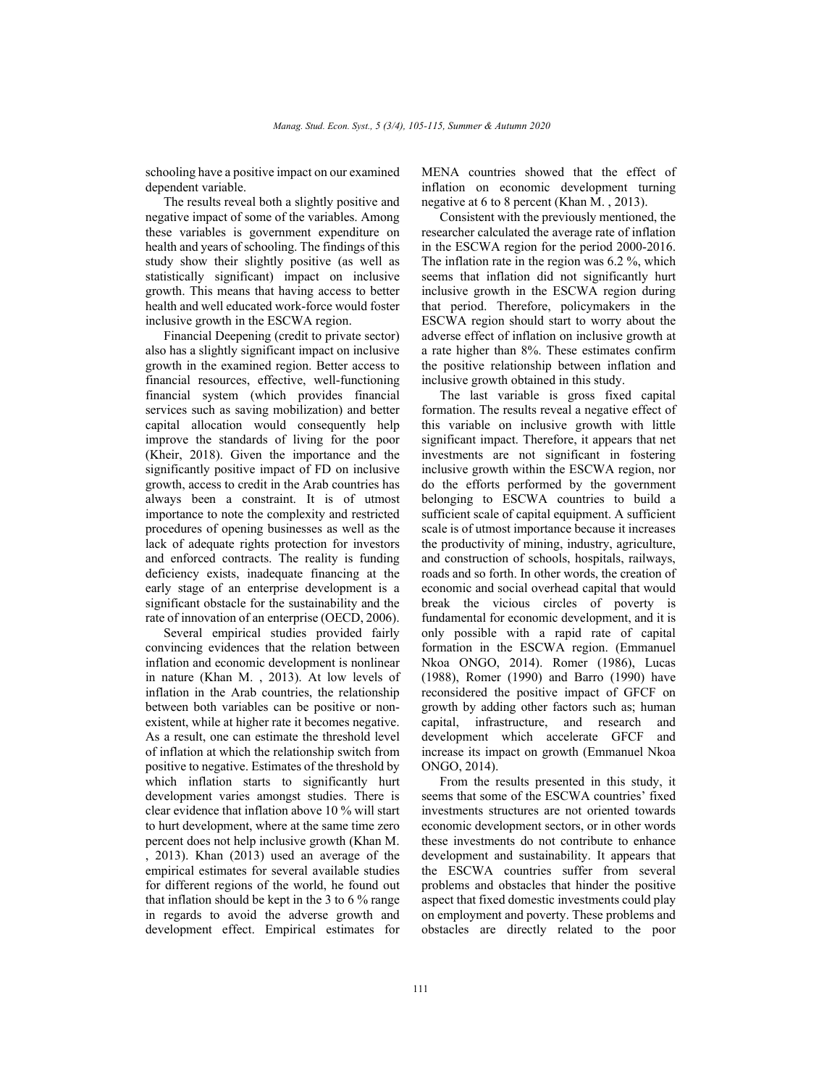schooling have a positive impact on our examined dependent variable.

The results reveal both a slightly positive and negative impact of some of the variables. Among these variables is government expenditure on health and years of schooling. The findings of this study show their slightly positive (as well as statistically significant) impact on inclusive growth. This means that having access to better health and well educated work-force would foster inclusive growth in the ESCWA region.

Financial Deepening (credit to private sector) also has a slightly significant impact on inclusive growth in the examined region. Better access to financial resources, effective, well-functioning financial system (which provides financial services such as saving mobilization) and better capital allocation would consequently help improve the standards of living for the poor (Kheir, 2018). Given the importance and the significantly positive impact of FD on inclusive growth, access to credit in the Arab countries has always been a constraint. It is of utmost importance to note the complexity and restricted procedures of opening businesses as well as the lack of adequate rights protection for investors and enforced contracts. The reality is funding deficiency exists, inadequate financing at the early stage of an enterprise development is a significant obstacle for the sustainability and the rate of innovation of an enterprise (OECD, 2006).

Several empirical studies provided fairly convincing evidences that the relation between inflation and economic development is nonlinear in nature (Khan M. , 2013). At low levels of inflation in the Arab countries, the relationship between both variables can be positive or nonexistent, while at higher rate it becomes negative. As a result, one can estimate the threshold level of inflation at which the relationship switch from positive to negative. Estimates of the threshold by which inflation starts to significantly hurt development varies amongst studies. There is clear evidence that inflation above 10 % will start to hurt development, where at the same time zero percent does not help inclusive growth (Khan M. , 2013). Khan (2013) used an average of the empirical estimates for several available studies for different regions of the world, he found out that inflation should be kept in the 3 to 6 % range in regards to avoid the adverse growth and development effect. Empirical estimates for

MENA countries showed that the effect of inflation on economic development turning negative at 6 to 8 percent (Khan M. , 2013).

Consistent with the previously mentioned, the researcher calculated the average rate of inflation in the ESCWA region for the period 2000-2016. The inflation rate in the region was 6.2 %, which seems that inflation did not significantly hurt inclusive growth in the ESCWA region during that period. Therefore, policymakers in the ESCWA region should start to worry about the adverse effect of inflation on inclusive growth at a rate higher than 8%. These estimates confirm the positive relationship between inflation and inclusive growth obtained in this study.

The last variable is gross fixed capital formation. The results reveal a negative effect of this variable on inclusive growth with little significant impact. Therefore, it appears that net investments are not significant in fostering inclusive growth within the ESCWA region, nor do the efforts performed by the government belonging to ESCWA countries to build a sufficient scale of capital equipment. A sufficient scale is of utmost importance because it increases the productivity of mining, industry, agriculture, and construction of schools, hospitals, railways, roads and so forth. In other words, the creation of economic and social overhead capital that would break the vicious circles of poverty is fundamental for economic development, and it is only possible with a rapid rate of capital formation in the ESCWA region. (Emmanuel Nkoa ONGO, 2014). Romer (1986), Lucas (1988), Romer (1990) and Barro (1990) have reconsidered the positive impact of GFCF on growth by adding other factors such as; human capital, infrastructure, and research and development which accelerate GFCF and increase its impact on growth (Emmanuel Nkoa ONGO, 2014).

From the results presented in this study, it seems that some of the ESCWA countries' fixed investments structures are not oriented towards economic development sectors, or in other words these investments do not contribute to enhance development and sustainability. It appears that the ESCWA countries suffer from several problems and obstacles that hinder the positive aspect that fixed domestic investments could play on employment and poverty. These problems and obstacles are directly related to the poor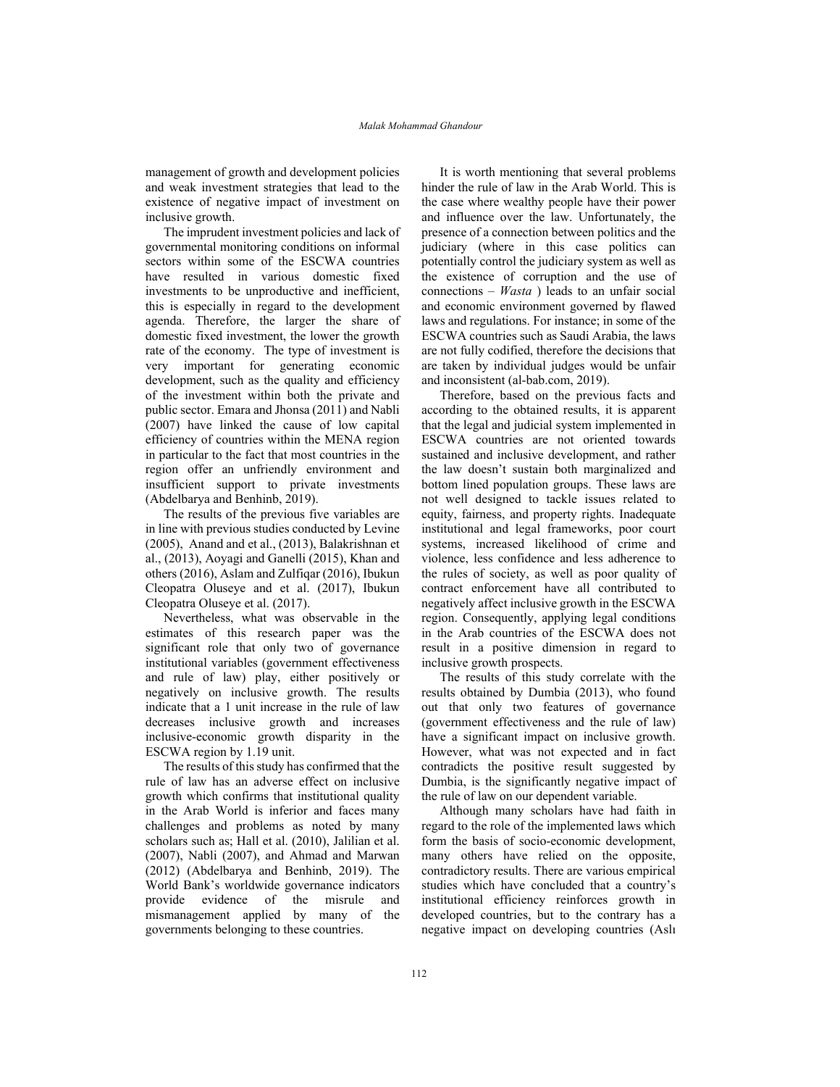management of growth and development policies and weak investment strategies that lead to the existence of negative impact of investment on inclusive growth.

The imprudent investment policies and lack of governmental monitoring conditions on informal sectors within some of the ESCWA countries have resulted in various domestic fixed investments to be unproductive and inefficient, this is especially in regard to the development agenda. Therefore, the larger the share of domestic fixed investment, the lower the growth rate of the economy. The type of investment is very important for generating economic development, such as the quality and efficiency of the investment within both the private and public sector. Emara and Jhonsa (2011) and Nabli (2007) have linked the cause of low capital efficiency of countries within the MENA region in particular to the fact that most countries in the region offer an unfriendly environment and insufficient support to private investments (Abdelbarya and Benhinb, 2019).

The results of the previous five variables are in line with previous studies conducted by Levine (2005), Anand and et al., (2013), Balakrishnan et al., (2013), Aoyagi and Ganelli (2015), Khan and others (2016), Aslam and Zulfiqar (2016), Ibukun Cleopatra Oluseye and et al. (2017), Ibukun Cleopatra Oluseye et al. (2017).

Nevertheless, what was observable in the estimates of this research paper was the significant role that only two of governance institutional variables (government effectiveness and rule of law) play, either positively or negatively on inclusive growth. The results indicate that a 1 unit increase in the rule of law decreases inclusive growth and increases inclusive-economic growth disparity in the ESCWA region by 1.19 unit.

The results of this study has confirmed that the rule of law has an adverse effect on inclusive growth which confirms that institutional quality in the Arab World is inferior and faces many challenges and problems as noted by many scholars such as; Hall et al. (2010), Jalilian et al. (2007), Nabli (2007), and Ahmad and Marwan (2012) (Abdelbarya and Benhinb, 2019). The World Bank's worldwide governance indicators provide evidence of the misrule and mismanagement applied by many of the governments belonging to these countries.

It is worth mentioning that several problems hinder the rule of law in the Arab World. This is the case where wealthy people have their power and influence over the law. Unfortunately, the presence of a connection between politics and the judiciary (where in this case politics can potentially control the judiciary system as well as the existence of corruption and the use of connections – *Wasta* ) leads to an unfair social and economic environment governed by flawed laws and regulations. For instance; in some of the ESCWA countries such as Saudi Arabia, the laws are not fully codified, therefore the decisions that are taken by individual judges would be unfair and inconsistent (al-bab.com, 2019).

Therefore, based on the previous facts and according to the obtained results, it is apparent that the legal and judicial system implemented in ESCWA countries are not oriented towards sustained and inclusive development, and rather the law doesn't sustain both marginalized and bottom lined population groups. These laws are not well designed to tackle issues related to equity, fairness, and property rights. Inadequate institutional and legal frameworks, poor court systems, increased likelihood of crime and violence, less confidence and less adherence to the rules of society, as well as poor quality of contract enforcement have all contributed to negatively affect inclusive growth in the ESCWA region. Consequently, applying legal conditions in the Arab countries of the ESCWA does not result in a positive dimension in regard to inclusive growth prospects.

The results of this study correlate with the results obtained by Dumbia (2013), who found out that only two features of governance (government effectiveness and the rule of law) have a significant impact on inclusive growth. However, what was not expected and in fact contradicts the positive result suggested by Dumbia, is the significantly negative impact of the rule of law on our dependent variable.

Although many scholars have had faith in regard to the role of the implemented laws which form the basis of socio-economic development, many others have relied on the opposite, contradictory results. There are various empirical studies which have concluded that a country's institutional efficiency reinforces growth in developed countries, but to the contrary has a negative impact on developing countries (Aslı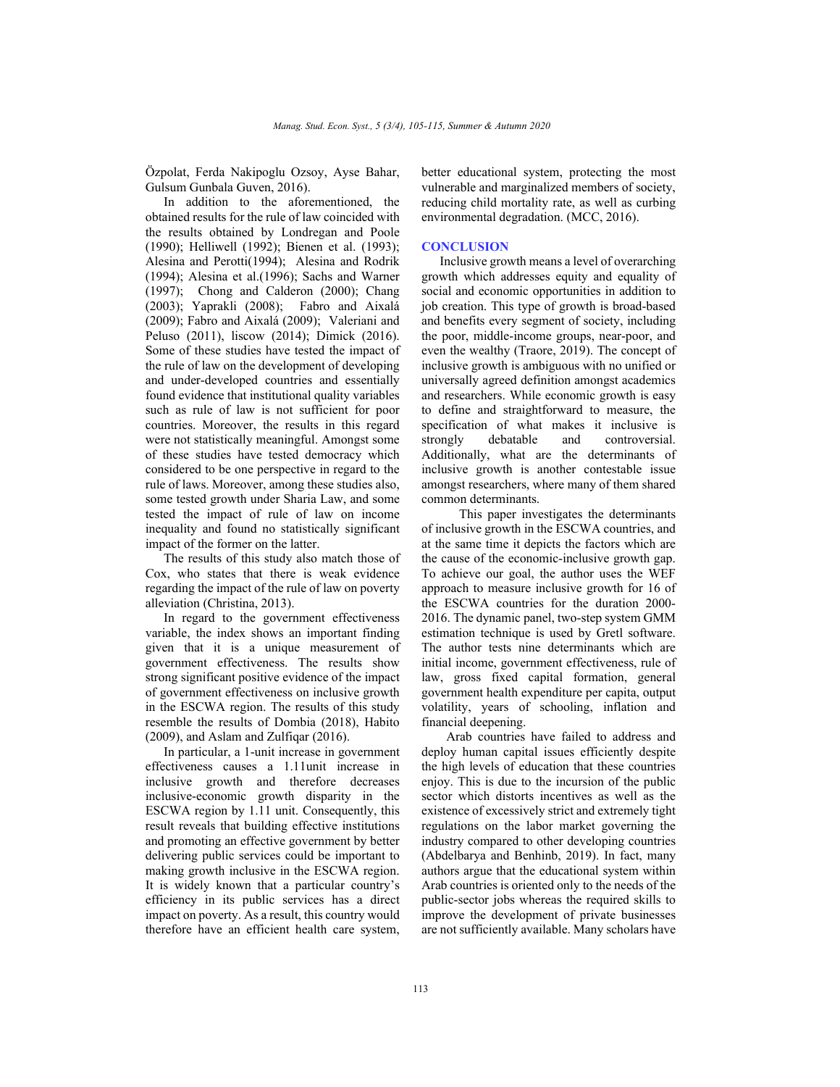Özpolat, Ferda Nakipoglu Ozsoy, Ayse Bahar, Gulsum Gunbala Guven, 2016).

In addition to the aforementioned, the obtained results for the rule of law coincided with the results obtained by Londregan and Poole (1990); Helliwell (1992); Bienen et al. (1993); Alesina and Perotti(1994); Alesina and Rodrik (1994); Alesina et al.(1996); Sachs and Warner (1997); Chong and Calderon (2000); Chang (2003); Yaprakli (2008); Fabro and Aixalá (2009); Fabro and Aixalá (2009); Valeriani and Peluso (2011), liscow (2014); Dimick (2016). Some of these studies have tested the impact of the rule of law on the development of developing and under-developed countries and essentially found evidence that institutional quality variables such as rule of law is not sufficient for poor countries. Moreover, the results in this regard were not statistically meaningful. Amongst some of these studies have tested democracy which considered to be one perspective in regard to the rule of laws. Moreover, among these studies also, some tested growth under Sharia Law, and some tested the impact of rule of law on income inequality and found no statistically significant impact of the former on the latter.

The results of this study also match those of Cox, who states that there is weak evidence regarding the impact of the rule of law on poverty alleviation (Christina, 2013).

In regard to the government effectiveness variable, the index shows an important finding given that it is a unique measurement of government effectiveness. The results show strong significant positive evidence of the impact of government effectiveness on inclusive growth in the ESCWA region. The results of this study resemble the results of Dombia (2018), Habito (2009), and Aslam and Zulfiqar (2016).

In particular, a 1-unit increase in government effectiveness causes a 1.11unit increase in inclusive growth and therefore decreases inclusive-economic growth disparity in the ESCWA region by 1.11 unit. Consequently, this result reveals that building effective institutions and promoting an effective government by better delivering public services could be important to making growth inclusive in the ESCWA region. It is widely known that a particular country's efficiency in its public services has a direct impact on poverty. As a result, this country would therefore have an efficient health care system,

better educational system, protecting the most vulnerable and marginalized members of society, reducing child mortality rate, as well as curbing environmental degradation. (MCC, 2016).

# **CONCLUSION**

Inclusive growth means a level of overarching growth which addresses equity and equality of social and economic opportunities in addition to job creation. This type of growth is broad-based and benefits every segment of society, including the poor, middle-income groups, near-poor, and even the wealthy (Traore, 2019). The concept of inclusive growth is ambiguous with no unified or universally agreed definition amongst academics and researchers. While economic growth is easy to define and straightforward to measure, the specification of what makes it inclusive is strongly debatable and controversial. Additionally, what are the determinants of inclusive growth is another contestable issue amongst researchers, where many of them shared common determinants.

 This paper investigates the determinants of inclusive growth in the ESCWA countries, and at the same time it depicts the factors which are the cause of the economic-inclusive growth gap. To achieve our goal, the author uses the WEF approach to measure inclusive growth for 16 of the ESCWA countries for the duration 2000- 2016. The dynamic panel, two-step system GMM estimation technique is used by Gretl software. The author tests nine determinants which are initial income, government effectiveness, rule of law, gross fixed capital formation, general government health expenditure per capita, output volatility, years of schooling, inflation and financial deepening.

 Arab countries have failed to address and deploy human capital issues efficiently despite the high levels of education that these countries enjoy. This is due to the incursion of the public sector which distorts incentives as well as the existence of excessively strict and extremely tight regulations on the labor market governing the industry compared to other developing countries (Abdelbarya and Benhinb, 2019). In fact, many authors argue that the educational system within Arab countries is oriented only to the needs of the public-sector jobs whereas the required skills to improve the development of private businesses are not sufficiently available. Many scholars have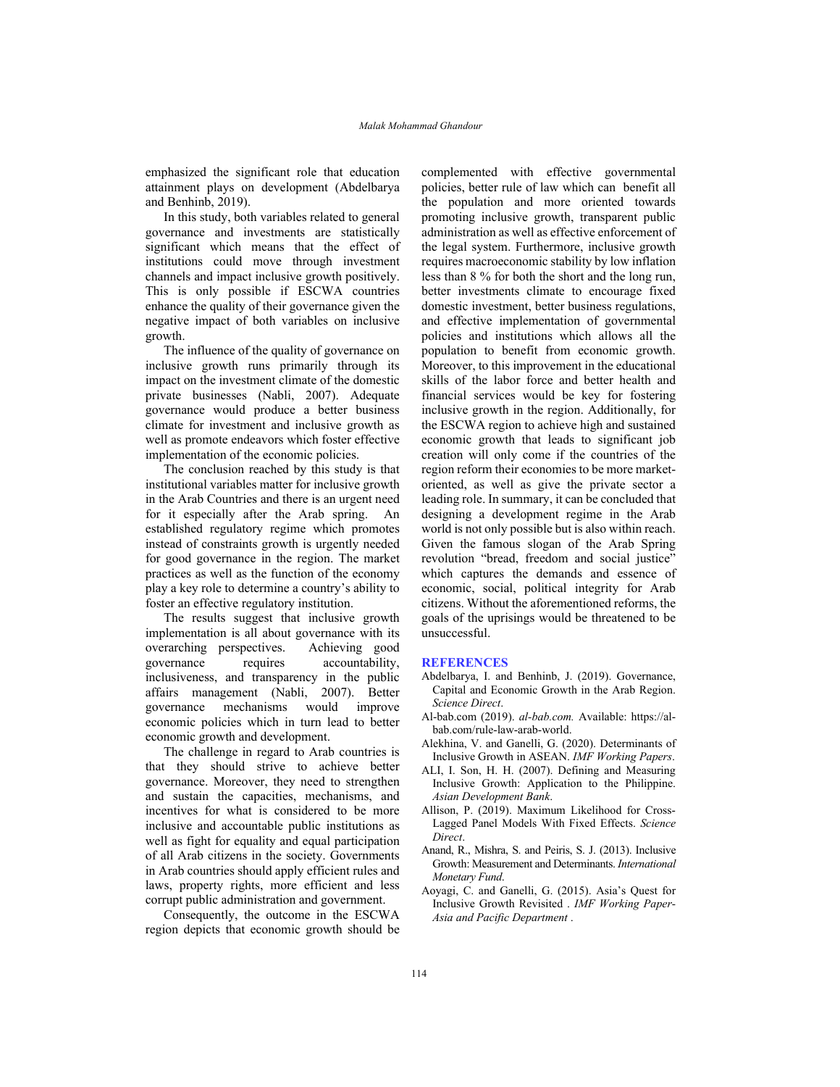emphasized the significant role that education attainment plays on development (Abdelbarya and Benhinb, 2019).

In this study, both variables related to general governance and investments are statistically significant which means that the effect of institutions could move through investment channels and impact inclusive growth positively. This is only possible if ESCWA countries enhance the quality of their governance given the negative impact of both variables on inclusive growth.

The influence of the quality of governance on inclusive growth runs primarily through its impact on the investment climate of the domestic private businesses (Nabli, 2007). Adequate governance would produce a better business climate for investment and inclusive growth as well as promote endeavors which foster effective implementation of the economic policies.

The conclusion reached by this study is that institutional variables matter for inclusive growth in the Arab Countries and there is an urgent need for it especially after the Arab spring. An established regulatory regime which promotes instead of constraints growth is urgently needed for good governance in the region. The market practices as well as the function of the economy play a key role to determine a country's ability to foster an effective regulatory institution.

The results suggest that inclusive growth implementation is all about governance with its overarching perspectives. Achieving good governance requires accountability, inclusiveness, and transparency in the public affairs management (Nabli, 2007). Better governance mechanisms would improve economic policies which in turn lead to better economic growth and development.

The challenge in regard to Arab countries is that they should strive to achieve better governance. Moreover, they need to strengthen and sustain the capacities, mechanisms, and incentives for what is considered to be more inclusive and accountable public institutions as well as fight for equality and equal participation of all Arab citizens in the society. Governments in Arab countries should apply efficient rules and laws, property rights, more efficient and less corrupt public administration and government.

Consequently, the outcome in the ESCWA region depicts that economic growth should be complemented with effective governmental policies, better rule of law which can benefit all the population and more oriented towards promoting inclusive growth, transparent public administration as well as effective enforcement of the legal system. Furthermore, inclusive growth requires macroeconomic stability by low inflation less than 8 % for both the short and the long run, better investments climate to encourage fixed domestic investment, better business regulations, and effective implementation of governmental policies and institutions which allows all the population to benefit from economic growth. Moreover, to this improvement in the educational skills of the labor force and better health and financial services would be key for fostering inclusive growth in the region. Additionally, for the ESCWA region to achieve high and sustained economic growth that leads to significant job creation will only come if the countries of the region reform their economies to be more marketoriented, as well as give the private sector a leading role. In summary, it can be concluded that designing a development regime in the Arab world is not only possible but is also within reach. Given the famous slogan of the Arab Spring revolution "bread, freedom and social justice" which captures the demands and essence of economic, social, political integrity for Arab citizens. Without the aforementioned reforms, the goals of the uprisings would be threatened to be unsuccessful.

### **REFERENCES**

- Abdelbarya, I. and Benhinb, J. (2019). Governance, Capital and Economic Growth in the Arab Region. *Science Direct*.
- Al-bab.com (2019). *al-bab.com.* Available: https://albab.com/rule-law-arab-world.
- Alekhina, V. and Ganelli, G. (2020). Determinants of Inclusive Growth in ASEAN. *IMF Working Papers*.
- ALI, I. Son, H. H. (2007). Defining and Measuring Inclusive Growth: Application to the Philippine. *Asian Development Bank*.
- Allison, P. (2019). Maximum Likelihood for Cross-Lagged Panel Models With Fixed Effects. *Science Direct*.
- Anand, R., Mishra, S. and Peiris, S. J. (2013). Inclusive Growth: Measurement and Determinants. *International Monetary Fund*.
- Aoyagi, C. and Ganelli, G. (2015). Asia's Quest for Inclusive Growth Revisited . *IMF Working Paper-Asia and Pacific Department* .